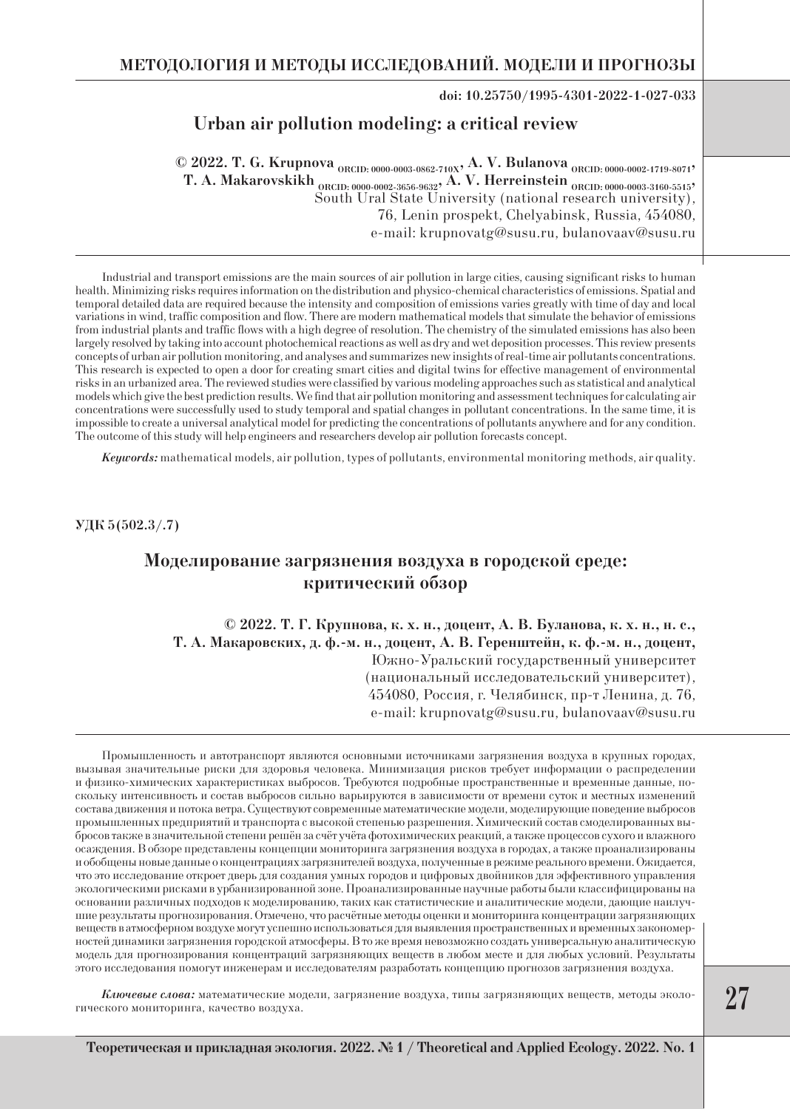**doi: 10.25750/1995-4301-2022-1-027-033**

### **Urban air pollution modeling: a critical review**

**© 2022. T. G. Krupnova ORCID: 0000-0003-0862-710X, A. V. Bulanova ORCID: 0000-0002-1719-8071,** T. A. Makarovskikh <sub>ORCID: 0000-0002-3656-9632</sub>, A. V. Herreinstein <sub>ORCID: 0000-0003-3160-5515</sub>, South Ural State University (national research university), 76, Lenin prospekt, Chelyabinsk, Russia, 454080, e-mail: krupnovatg@susu.ru, bulanovaav@susu.ru

Industrial and transport emissions are the main sources of air pollution in large cities, causing significant risks to human health. Minimizing risks requires information on the distribution and physico-chemical characteristics of emissions. Spatial and temporal detailed data are required because the intensity and composition of emissions varies greatly with time of day and local variations in wind, traffic composition and flow. There are modern mathematical models that simulate the behavior of emissions from industrial plants and traffic flows with a high degree of resolution. The chemistry of the simulated emissions has also been largely resolved by taking into account photochemical reactions as well as dry and wet deposition processes. This review presents concepts of urban air pollution monitoring, and analyses and summarizes new insights of real-time air pollutants concentrations. This research is expected to open a door for creating smart cities and digital twins for effective management of environmental risks in an urbanized area. The reviewed studies were classified by various modeling approaches such as statistical and analytical models which give the best prediction results. We find that air pollution monitoring and assessment techniques for calculating air concentrations were successfully used to study temporal and spatial changes in pollutant concentrations. In the same time, it is impossible to create a universal analytical model for predicting the concentrations of pollutants anywhere and for any condition. The outcome of this study will help engineers and researchers develop air pollution forecasts concept.

*Keywords:* mathematical models, air pollution, types of pollutants, environmental monitoring methods, air quality.

**УДК 5(502.3/.7)**

# **Моделирование загрязнения воздуха в городской среде: критический обзор**

**© 2022. Т. Г. Крупнова, к. х. н., доцент, А. В. Буланова, к. х. н., н. с., Т. А. Макаровских, д. ф.-м. н., доцент, А. В. Геренштейн, к. ф.-м. н., доцент,** Южно-Уральский государственный университет (национальный исследовательский университет), 454080, Россия, г. Челябинск, пр-т Ленина, д. 76, e-mail: krupnovatg@susu.ru, bulanovaav@susu.ru

Промышленность и автотранспорт являются основными источниками загрязнения воздуха в крупных городах, вызывая значительные риски для здоровья человека. Минимизация рисков требует информации о распределении и физико-химических характеристиках выбросов. Требуются подробные пространственные и временные данные, поскольку интенсивность и состав выбросов сильно варьируются в зависимости от времени суток и местных изменений состава движения и потока ветра. Существуют современные математические модели, моделирующие поведение выбросов промышленных предприятий и транспорта с высокой степенью разрешения. Химический состав смоделированных выбросов также в значительной степени решён за счёт учёта фотохимических реакций, а также процессов сухого и влажного осаждения. В обзоре представлены концепции мониторинга загрязнения воздуха в городах, а также проанализированы и обобщены новые данные о концентрациях загрязнителей воздуха, полученные в режиме реального времени. Ожидается, что это исследование откроет дверь для создания умных городов и цифровых двойников для эффективного управления экологическими рисками в урбанизированной зоне. Проанализированные научные работы были классифицированы на основании различных подходов к моделированию, таких как статистические и аналитические модели, дающие наилучшие результаты прогнозирования. Отмечено, что расчётные методы оценки и мониторинга концентрации загрязняющих веществ в атмосферном воздухе могут успешно использоваться для выявления пространственных и временных закономерностей динамики загрязнения городской атмосферы. В то же время невозможно создать универсальную аналитическую модель для прогнозирования концентраций загрязняющих веществ в любом месте и для любых условий. Результаты этого исследования помогут инженерам и исследователям разработать концепцию прогнозов загрязнения воздуха.

*Ключевые слова:* математические модели, загрязнение воздуха, типы загрязняющих веществ, методы экологического мониторинга, качество воздуха.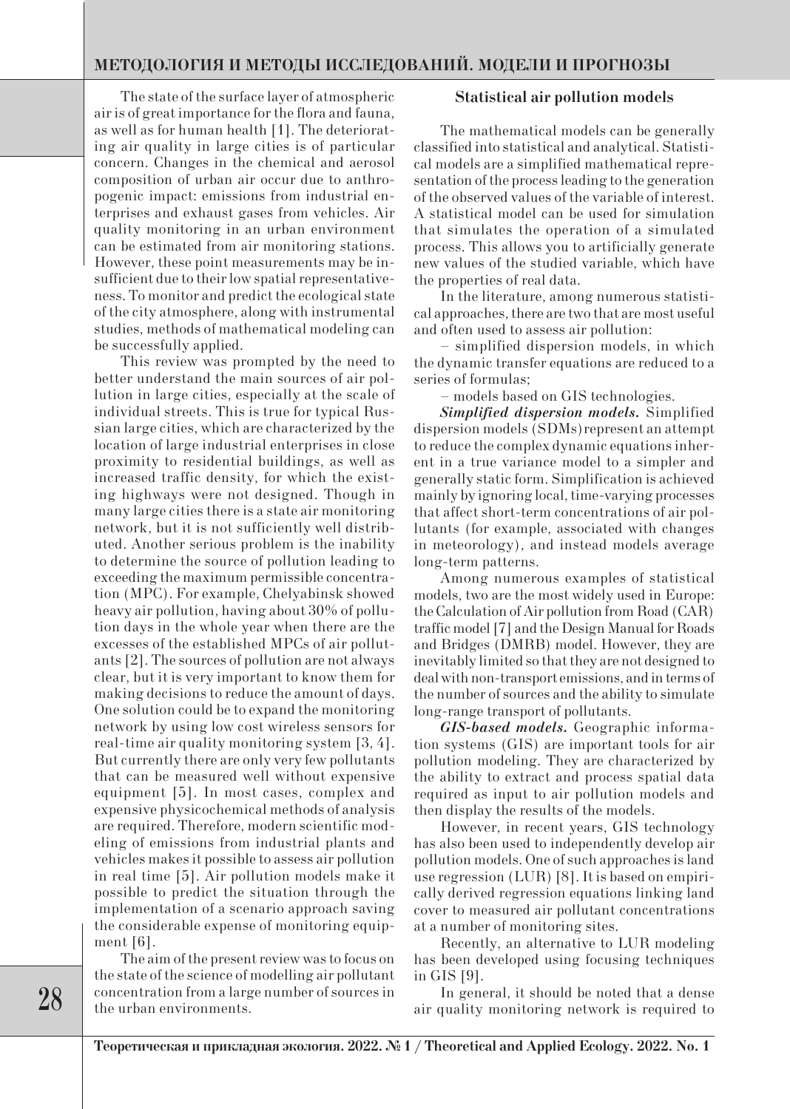The state of the surface layer of atmospheric air is of great importance for the flora and fauna, as well as for human health [1]. The deteriorating air quality in large cities is of particular concern. Changes in the chemical and aerosol composition of urban air occur due to anthropogenic impact: emissions from industrial enterprises and exhaust gases from vehicles. Air quality monitoring in an urban environment can be estimated from air monitoring stations. However, these point measurements may be insufficient due to their low spatial representativeness. To monitor and predict the ecological state of the city atmosphere, along with instrumental studies, methods of mathematical modeling can be successfully applied.

This review was prompted by the need to better understand the main sources of air pollution in large cities, especially at the scale of individual streets. This is true for typical Russian large cities, which are characterized by the location of large industrial enterprises in close proximity to residential buildings, as well as increased traffic density, for which the existing highways were not designed. Though in many large cities there is a state air monitoring network, but it is not sufficiently well distributed. Another serious problem is the inability to determine the source of pollution leading to exceeding the maximum permissible concentration (MPC). For example, Chelyabinsk showed heavy air pollution, having about 30% of pollution days in the whole year when there are the excesses of the established MPCs of air pollutants [2]. The sources of pollution are not always clear, but it is very important to know them for making decisions to reduce the amount of days. One solution could be to expand the monitoring network by using low cost wireless sensors for real-time air quality monitoring system [3, 4]. But currently there are only very few pollutants that can be measured well without expensive equipment [5]. In most cases, complex and expensive physicochemical methods of analysis are required. Therefore, modern scientific modeling of emissions from industrial plants and vehicles makes it possible to assess air pollution in real time [5]. Air pollution models make it possible to predict the situation through the implementation of a scenario approach saving the considerable expense of monitoring equipment [6].

The aim of the present review was to focus on the state of the science of modelling air pollutant concentration from a large number of sources in the urban environments.

### **Statistical air pollution models**

The mathematical models can be generally classified into statistical and analytical. Statistical models are a simplified mathematical representation of the process leading to the generation of the observed values of the variable of interest. A statistical model can be used for simulation that simulates the operation of a simulated process. This allows you to artificially generate new values of the studied variable, which have the properties of real data.

In the literature, among numerous statistical approaches, there are two that are most useful and often used to assess air pollution:

– simplified dispersion models, in which the dynamic transfer equations are reduced to a series of formulas;

– models based on GIS technologies.

*Simplified dispersion models.* Simplified dispersion models (SDMs)represent an attempt to reduce the complex dynamic equations inherent in a true variance model to a simpler and generally static form. Simplification is achieved mainly by ignoring local, time-varying processes that affect short-term concentrations of air pollutants (for example, associated with changes in meteorology), and instead models average long-term patterns.

Among numerous examples of statistical models, two are the most widely used in Europe: the Calculation of Air pollution from Road (CAR) traffic model [7] and the Design Manual for Roads and Bridges (DMRB) model. However, they are inevitably limited so that they are not designed to deal with non-transport emissions, and in terms of the number of sources and the ability to simulate long-range transport of pollutants.

*GIS-based models.* Geographic information systems (GIS) are important tools for air pollution modeling. They are characterized by the ability to extract and process spatial data required as input to air pollution models and then display the results of the models.

However, in recent years, GIS technology has also been used to independently develop air pollution models. One of such approaches is land use regression (LUR) [8]. It is based on empirically derived regression equations linking land cover to measured air pollutant concentrations at a number of monitoring sites.

Recently, an alternative to LUR modeling has been developed using focusing techniques in GIS [9].

In general, it should be noted that a dense air quality monitoring network is required to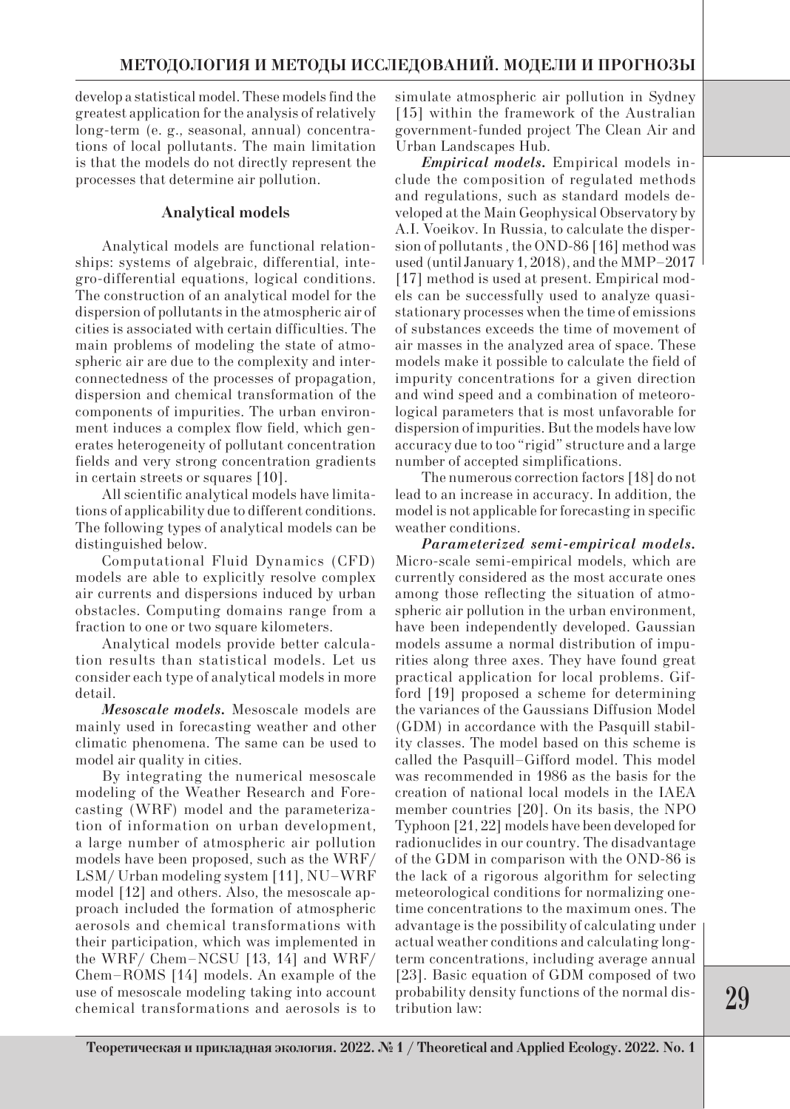develop a statistical model. These models find the greatest application for the analysis of relatively long-term (e. g., seasonal, annual) concentrations of local pollutants. The main limitation is that the models do not directly represent the processes that determine air pollution.

### **Analytical models**

Analytical models are functional relationships: systems of algebraic, differential, integro-differential equations, logical conditions. The construction of an analytical model for the dispersion of pollutants in the atmospheric air of cities is associated with certain difficulties. The main problems of modeling the state of atmospheric air are due to the complexity and interconnectedness of the processes of propagation, dispersion and chemical transformation of the components of impurities. The urban environment induces a complex flow field, which generates heterogeneity of pollutant concentration fields and very strong concentration gradients in certain streets or squares [10].

All scientific analytical models have limitations of applicability due to different conditions. The following types of analytical models can be distinguished below.

Computational Fluid Dynamics (CFD) models are able to explicitly resolve complex air currents and dispersions induced by urban obstacles. Computing domains range from a fraction to one or two square kilometers.

Analytical models provide better calculation results than statistical models. Let us consider each type of analytical models in more detail.

*Mesoscale models.* Mesoscale models are mainly used in forecasting weather and other climatic phenomena. The same can be used to model air quality in cities.

By integrating the numerical mesoscale modeling of the Weather Research and Forecasting (WRF) model and the parameterization of information on urban development, a large number of atmospheric air pollution models have been proposed, such as the WRF/ LSM/ Urban modeling system [11], NU–WRF model [12] and others. Also, the mesoscale approach included the formation of atmospheric aerosols and chemical transformations with their participation, which was implemented in the WRF/ Chem–NCSU [13, 14] and WRF/ Chem–ROMS [14] models. An example of the use of mesoscale modeling taking into account chemical transformations and aerosols is to simulate atmospheric air pollution in Sydney [15] within the framework of the Australian government-funded project The Clean Air and Urban Landscapes Hub.

*Empirical models.* Empirical models include the composition of regulated methods and regulations, such as standard models developed at the Main Geophysical Observatory by A.I. Voeikov. In Russia, to calculate the dispersion of pollutants , the OND-86 [16] method was used (until January 1, 2018), and the MMP–2017 [17] method is used at present. Empirical models can be successfully used to analyze quasistationary processes when the time of emissions of substances exceeds the time of movement of air masses in the analyzed area of space. These models make it possible to calculate the field of impurity concentrations for a given direction and wind speed and a combination of meteorological parameters that is most unfavorable for dispersion of impurities. But the models have low accuracy due to too "rigid" structure and a large number of accepted simplifications.

The numerous correction factors [18] do not lead to an increase in accuracy. In addition, the model is not applicable for forecasting in specific weather conditions.

*Parameterized semi-empirical models.* Micro-scale semi-empirical models, which are currently considered as the most accurate ones among those reflecting the situation of atmospheric air pollution in the urban environment, have been independently developed. Gaussian models assume a normal distribution of impurities along three axes. They have found great practical application for local problems. Gifford [19] proposed a scheme for determining the variances of the Gaussians Diffusion Model (GDM) in accordance with the Pasquill stability classes. The model based on this scheme is called the Pasquill–Gifford model. This model was recommended in 1986 as the basis for the creation of national local models in the IAEA member countries [20]. On its basis, the NPO Typhoon [21, 22] models have been developed for radionuclides in our country. The disadvantage of the GDM in comparison with the OND-86 is the lack of a rigorous algorithm for selecting meteorological conditions for normalizing onetime concentrations to the maximum ones. The advantage is the possibility of calculating under actual weather conditions and calculating longterm concentrations, including average annual [23]. Basic equation of GDM composed of two probability density functions of the normal distribution law: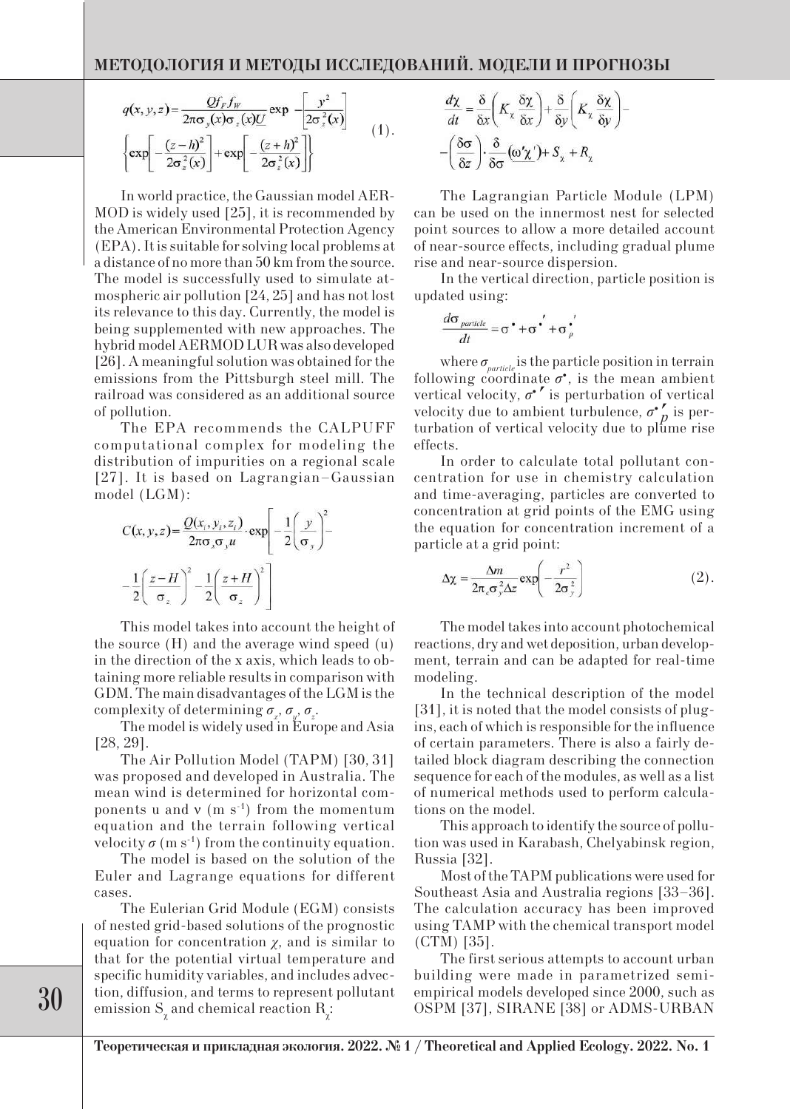$$
q(x, y, z) = \frac{Qf_F f_W}{2\pi\sigma_y(x)\sigma_z(x)\underline{U}} \exp \left[-\frac{y^2}{2\sigma_z^2(x)}\right] \left\{\exp\left[-\frac{(z-h)^2}{2\sigma_z^2(x)}\right] + \exp\left[-\frac{(z+h)^2}{2\sigma_z^2(x)}\right]\right\} \tag{1}.
$$

In world practice, the Gaussian model AER-MOD is widely used [25], it is recommended by the American Environmental Protection Agency (EPA). It is suitable for solving local problems at a distance of no more than 50 km from the source. The model is successfully used to simulate atmospheric air pollution [24, 25] and has not lost its relevance to this day. Currently, the model is being supplemented with new approaches. The hybrid model AERMOD LUR was also developed [26]. A meaningful solution was obtained for the emissions from the Pittsburgh steel mill. The railroad was considered as an additional source of pollution.

The EPA recommends the CALPUFF computational complex for modeling the distribution of impurities on a regional scale [27]. It is based on Lagrangian–Gaussian model (LGM):

$$
C(x, y, z) = \frac{Q(x_i, y_i, z_i)}{2\pi\sigma_x\sigma_y u} \cdot \exp\left[-\frac{1}{2}\left(\frac{y}{\sigma_y}\right)^2 - \frac{1}{2}\left(\frac{z-H}{\sigma_z}\right)^2 - \frac{1}{2}\left(\frac{z+H}{\sigma_z}\right)^2\right]
$$

This model takes into account the height of the source (H) and the average wind speed (u) in the direction of the x axis, which leads to obtaining more reliable results in comparison with GDM. The main disadvantages of the LGM is the complexity of determining  $\sigma_x$ ,  $\sigma_y$ ,  $\sigma_z$ .

The model is widely used in Europe and Asia [28, 29].

The Air Pollution Model (TAPM) [30, 31] was proposed and developed in Australia. The mean wind is determined for horizontal components u and  $v$  (m s<sup>-1</sup>) from the momentum equation and the terrain following vertical velocity  $\sigma$  (m s<sup>-1</sup>) from the continuity equation.

The model is based on the solution of the Euler and Lagrange equations for different cases.

The Eulerian Grid Module (EGM) consists of nested grid-based solutions of the prognostic equation for concentration *χ*, and is similar to that for the potential virtual temperature and specific humidity variables, and includes advection, diffusion, and terms to represent pollutant emission  $S_{\chi}$  and chemical reaction  $R_{\chi}$ :

$$
\frac{d\chi}{dt} = \frac{\delta}{\delta x} \left( K_x \frac{\delta \chi}{\delta x} \right) + \frac{\delta}{\delta y} \left( K_x \frac{\delta \chi}{\delta y} \right) -
$$

$$
- \left( \frac{\delta \sigma}{\delta z} \right) \cdot \frac{\delta}{\delta \sigma} \left( \frac{\omega' \chi'}{\delta y} \right) + S_x + R_z
$$

The Lagrangian Particle Module (LPM) can be used on the innermost nest for selected point sources to allow a more detailed account of near-source effects, including gradual plume rise and near-source dispersion.

In the vertical direction, particle position is updated using:

$$
\frac{d\sigma_{particle}}{dt} = \sigma^{\bullet} + \sigma^{\bullet'} + \sigma^{\bullet'}_{p}
$$

where  $\sigma_{particle}$  is the particle position in terrain following coordinate  $\sigma^*$ , is the mean ambient vertical velocity,  $\sigma^*$  is perturbation of vertical vertical velocity,  $\sigma'$  is perturbation of vertical velocity due to ambient turbulence,  $\sigma'$ <sub>n</sub> is pervelocity due to ambient turbulence,  $\sigma_{p}$  is perturbation of vertical velocity due to plume rise effects.

In order to calculate total pollutant concentration for use in chemistry calculation and time-averaging, particles are converted to concentration at grid points of the EMG using the equation for concentration increment of a particle at a grid point:

$$
\Delta \chi = \frac{\Delta m}{2\pi_c \sigma_y^2 \Delta z} \exp\left(-\frac{r^2}{2\sigma_y^2}\right) \tag{2}.
$$

The model takes into account photochemical reactions, dry and wet deposition, urban development, terrain and can be adapted for real-time modeling.

In the technical description of the model [31], it is noted that the model consists of plugins, each of which is responsible for the influence of certain parameters. There is also a fairly detailed block diagram describing the connection sequence for each of the modules, as well as a list of numerical methods used to perform calculations on the model.

This approach to identify the source of pollution was used in Karabash, Chelyabinsk region, Russia [32].

Most of the TAPM publications were used for Southeast Asia and Australia regions [33–36]. The calculation accuracy has been improved using TAMP with the chemical transport model (СТM) [35].

The first serious attempts to account urban building were made in parametrized semiempirical models developed since 2000, such as OSPM [37], SIRANE [38] or ADMS-URBAN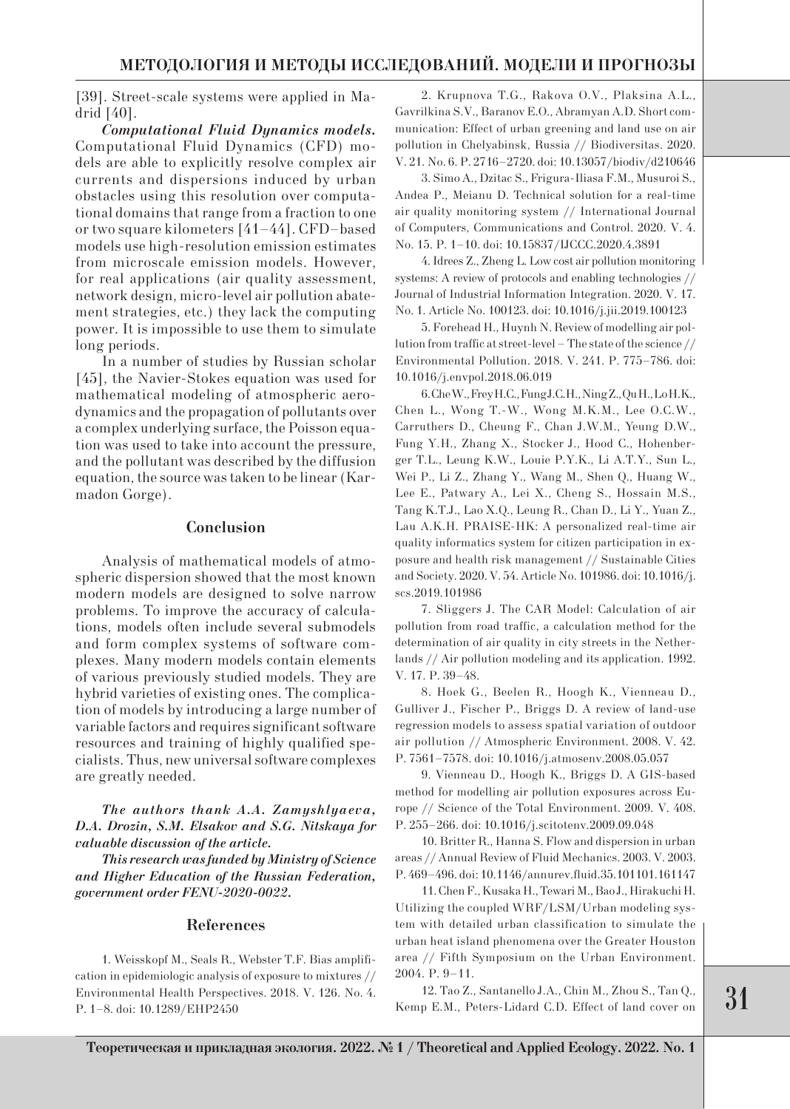[39]. Street-scale systems were applied in Madrid [40].

*Computational Fluid Dynamics models.*  Computational Fluid Dynamics (CFD) models are able to explicitly resolve complex air currents and dispersions induced by urban obstacles using this resolution over computational domains that range from a fraction to one or two square kilometers [41–44]. CFD–based models use high-resolution emission estimates from microscale emission models. However, for real applications (air quality assessment, network design, micro-level air pollution abatement strategies, etc.) they lack the computing power. It is impossible to use them to simulate long periods.

In a number of studies by Russian scholar [45], the Navier-Stokes equation was used for mathematical modeling of atmospheric aerodynamics and the propagation of pollutants over a complex underlying surface, the Poisson equation was used to take into account the pressure, and the pollutant was described by the diffusion equation, the source was taken to be linear (Karmadon Gorge).

#### **Conclusion**

Analysis of mathematical models of atmospheric dispersion showed that the most known modern models are designed to solve narrow problems. To improve the accuracy of calculations, models often include several submodels and form complex systems of software complexes. Many modern models contain elements of various previously studied models. They are hybrid varieties of existing ones. The complication of models by introducing a large number of variable factors and requires significant software resources and training of highly qualified specialists. Thus, new universal software complexes are greatly needed.

*The authors thank A.A. Zamyshlyaeva, D.A. Drozin, S.M. Elsakov and S.G. Nitskaya for valuable discussion of the article.*

*This research was funded by Ministry of Science and Higher Education of the Russian Federation, government order FENU-2020-0022.*

#### **References**

1. Weisskopf M., Seals R., Webster T.F. Bias amplification in epidemiologic analysis of exposure to mixtures // Environmental Health Perspectives. 2018. V. 126. No. 4. P. 1–8. doi: 10.1289/EHP2450

2. Krupnova T.G., Rakova O.V., Plaksina A.L., Gavrilkina S.V., Baranov E.O., Abramyan A.D. Short communication: Effect of urban greening and land use on air pollution in Chelyabinsk, Russia // Biodiversitas. 2020. V. 21. No. 6. P. 2716–2720. doi: 10.13057/biodiv/d210646

3. Simo A., Dzitac S., Frigura-Iliasa F.M., Musuroi S., Andea P., Meianu D. Technical solution for a real-time air quality monitoring system // International Journal of Computers, Communications and Control. 2020. V. 4. No. 15. P. 1–10. doi: 10.15837/IJCCC.2020.4.3891

4. Idrees Z., Zheng L. Low cost air pollution monitoring systems: A review of protocols and enabling technologies // Journal of Industrial Information Integration. 2020. V. 17. No. 1. Article No. 100123. doi: 10.1016/j.jii.2019.100123

5. Forehead H., Huynh N. Review of modelling air pollution from traffic at street-level – The state of the science // Environmental Pollution. 2018. V. 241. P. 775–786. doi: 10.1016/j.envpol.2018.06.019

6. Che W., Frey H.C., Fung J.C.H., Ning Z., Qu H., Lo H.K., Chen L., Wong T.-W., Wong M.K.M., Lee O.C.W., Carruthers D., Cheung F., Chan J.W.M., Yeung D.W., Fung Y.H., Zhang X., Stocker J., Hood C., Hohenberger T.L., Leung K.W., Louie P.Y.K., Li A.T.Y., Sun L., Wei P., Li Z., Zhang Y., Wang M., Shen Q., Huang W., Lee E., Patwary A., Lei X., Cheng S., Hossain M.S., Tang K.T.J., Lao X.Q., Leung R., Chan D., Li Y., Yuan Z., Lau A.K.H. PRAISE-HK: A personalized real-time air quality informatics system for citizen participation in exposure and health risk management // Sustainable Cities and Society. 2020. V. 54. Article No. 101986. doi: 10.1016/j. scs.2019.101986

7. Sliggers J. The CAR Model: Calculation of air pollution from road traffic, a calculation method for the determination of air quality in city streets in the Netherlands // Air pollution modeling and its application. 1992. V. 17. P. 39–48.

8. Hoek G., Beelen R., Hoogh K., Vienneau D., Gulliver J., Fischer P., Briggs D. A review of land-use regression models to assess spatial variation of outdoor air pollution // Atmospheric Environment. 2008. V. 42. P. 7561–7578. doi: 10.1016/j.atmosenv.2008.05.057

9. Vienneau D., Hoogh K., Briggs D. A GIS-based method for modelling air pollution exposures across Europe // Science of the Total Environment. 2009. V. 408. P. 255–266. doi: 10.1016/j.scitotenv.2009.09.048

10. Britter R., Hanna S. Flow and dispersion in urban areas // Annual Review of Fluid Mechanics. 2003. V. 2003. P. 469–496. doi: 10.1146/annurev.fluid.35.101101.161147

11. Chen F., Kusaka H., Tewari M., Bao J., Hirakuchi H. Utilizing the coupled WRF/LSM/Urban modeling system with detailed urban classification to simulate the urban heat island phenomena over the Greater Houston area // Fifth Symposium on the Urban Environment. 2004. P. 9–11.

12. Tao Z., Santanello J.A., Chin M., Zhou S., Tan Q., Kemp E.M., Peters-Lidard C.D. Effect of land cover on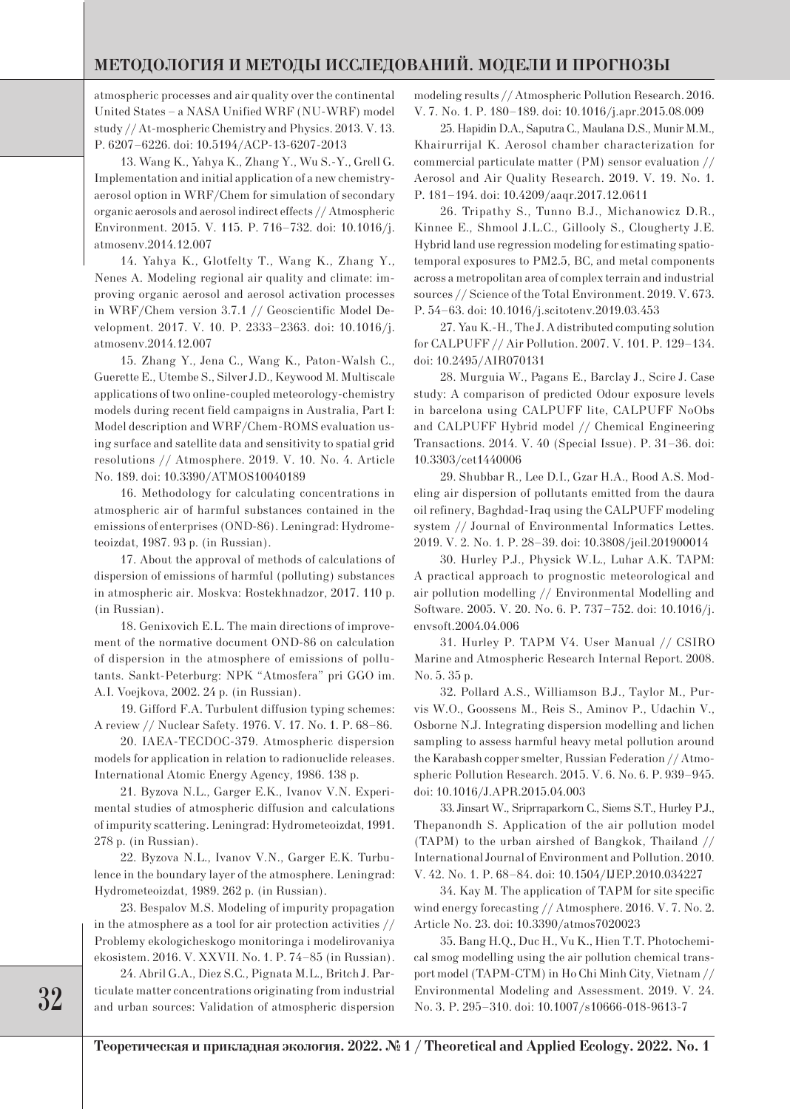### **МЕТОДОЛОГИЯ И МЕТОДЫ ИССЛЕДОВАНИЙ. МОДЕЛИ И ПРОГНОЗЫ**

atmospheric processes and air quality over the continental United States – a NASA Unified WRF (NU-WRF) model study // At-mospheric Chemistry and Physics. 2013. V. 13. P. 6207–6226. doi: 10.5194/ACP-13-6207-2013

13. Wang K., Yahya K., Zhang Y., Wu S.-Y., Grell G. Implementation and initial application of a new chemistryaerosol option in WRF/Chem for simulation of secondary organic aerosols and aerosol indirect effects // Atmospheric Environment. 2015. V. 115. P. 716–732. doi: 10.1016/j. atmosenv.2014.12.007

14. Yahya K., Glotfelty T., Wang K., Zhang Y., Nenes A. Modeling regional air quality and climate: improving organic aerosol and aerosol activation processes in WRF/Chem version 3.7.1 // Geoscientific Model Development. 2017. V. 10. P. 2333–2363. doi: 10.1016/j. atmosenv.2014.12.007

15. Zhang Y., Jena C., Wang K., Paton-Walsh C., Guerette E., Utembe S., Silver J.D., Keywood M. Multiscale applications of two online-coupled meteorology-chemistry models during recent field campaigns in Australia, Part I: Model description and WRF/Chem-ROMS evaluation using surface and satellite data and sensitivity to spatial grid resolutions // Atmosphere. 2019. V. 10. No. 4. Article No. 189. doi: 10.3390/ATMOS10040189

16. Methodology for calculating concentrations in atmospheric air of harmful substances contained in the emissions of enterprises (OND-86). Leningrad: Hydrometeoizdat, 1987. 93 p. (in Russian).

17. About the approval of methods of calculations of dispersion of emissions of harmful (polluting) substances in atmospheric air. Moskva: Rostekhnadzor, 2017. 110 p. (in Russian).

18. Genixovich E.L. The main directions of improvement of the normative document OND-86 on calculation of dispersion in the atmosphere of emissions of pollutants. Sankt-Peterburg: NPK "Atmosfera" pri GGO im. A.I. Voejkova, 2002. 24 p. (in Russian).

19. Gifford F.A. Turbulent diffusion typing schemes: A review // Nuclear Safety. 1976. V. 17. No. 1. P. 68–86.

20. IAEA-TECDOC-379. Atmospheric dispersion models for application in relation to radionuclide releases. International Atomic Energy Agency, 1986. 138 p.

21. Byzova N.L., Garger E.K., Ivanov V.N. Experimental studies of atmospheric diffusion and calculations of impurity scattering. Leningrad: Hydrometeoizdat, 1991. 278 p. (in Russian).

22. Byzova N.L., Ivanov V.N., Garger E.K. Turbulence in the boundary layer of the atmosphere. Leningrad: Hydrometeoizdat, 1989. 262 p. (in Russian).

23. Bespalov M.S. Modeling of impurity propagation in the atmosphere as a tool for air protection activities // Problemy ekologicheskogo monitoringa i modelirovaniya ekosistem. 2016. V. XXVII. No. 1. P. 74–85 (in Russian).

24. Abril G.A., Diez S.C., Pignata M.L., Britch J. Particulate matter concentrations originating from industrial and urban sources: Validation of atmospheric dispersion modeling results // Atmospheric Pollution Research. 2016. V. 7. No. 1. P. 180–189. doi: 10.1016/j.apr.2015.08.009

25. Hapidin D.A., Saputra C., Maulana D.S., Munir M.M., Khairurrijal K. Aerosol chamber characterization for commercial particulate matter (PM) sensor evaluation // Aerosol and Air Quality Research. 2019. V. 19. No. 1. P. 181–194. doi: 10.4209/aaqr.2017.12.0611

26. Tripathy S., Tunno B.J., Michanowicz D.R., Kinnee E., Shmool J.L.C., Gillooly S., Clougherty J.E. Hybrid land use regression modeling for estimating spatiotemporal exposures to PM2.5, BC, and metal components across a metropolitan area of complex terrain and industrial sources // Science of the Total Environment. 2019. V. 673. P. 54–63. doi: 10.1016/j.scitotenv.2019.03.453

27. Yau K.-H., The J. A distributed computing solution for CALPUFF // Air Pollution. 2007. V. 101. P. 129–134. doi: 10.2495/AIR070131

28. Murguia W., Pagans E., Barclay J., Scire J. Case study: A comparison of predicted Odour exposure levels in barcelona using CALPUFF lite, CALPUFF NoObs and CALPUFF Hybrid model // Chemical Engineering Transactions. 2014. V. 40 (Special Issue). P. 31–36. doi: 10.3303/cet1440006

29. Shubbar R., Lee D.I., Gzar H.A., Rood A.S. Modeling air dispersion of pollutants emitted from the daura oil refinery, Baghdad-Iraq using the CALPUFF modeling system // Journal of Environmental Informatics Lettes. 2019. V. 2. No. 1. P. 28–39. doi: 10.3808/jeil.201900014

30. Hurley P.J., Physick W.L., Luhar A.K. TAPM: A practical approach to prognostic meteorological and air pollution modelling // Environmental Modelling and Software. 2005. V. 20. No. 6. P. 737–752. doi: 10.1016/j. envsoft.2004.04.006

31. Hurley P. TAPM V4. User Manual // CSIRO Marine and Atmospheric Research Internal Report. 2008. No. 5. 35 р.

32. Pollard A.S., Williamson B.J., Taylor M., Purvis W.O., Goossens M., Reis S., Aminov P., Udachin V., Osborne N.J. Integrating dispersion modelling and lichen sampling to assess harmful heavy metal pollution around the Karabash copper smelter, Russian Federation // Atmospheric Pollution Research. 2015. V. 6. No. 6. P. 939–945. doi: 10.1016/J.APR.2015.04.003

33. Jinsart W., Sriprraparkorn C., Siems S.T., Hurley P.J., Thepanondh S. Application of the air pollution model (TAPM) to the urban airshed of Bangkok, Thailand // International Journal of Environment and Pollution. 2010. V. 42. No. 1. P. 68–84. doi: 10.1504/IJEP.2010.034227

34. Kay M. The application of TAPM for site specific wind energy forecasting // Atmosphere. 2016. V. 7. No. 2. Article No. 23. doi: 10.3390/atmos7020023

35. Bang H.Q., Duc H., Vu K., Hien T.T. Photochemical smog modelling using the air pollution chemical transport model (TAPM-CTM) in Ho Chi Minh City, Vietnam // Environmental Modeling and Assessment. 2019. V. 24. No. 3. P. 295–310. doi: 10.1007/s10666-018-9613-7